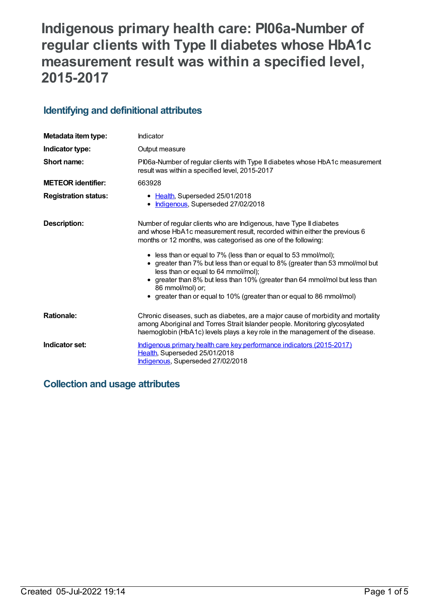# **Indigenous primary health care: PI06a-Number of regular clients with Type II diabetes whose HbA1c measurement result was within a specified level, 2015-2017**

### **Identifying and definitional attributes**

| Metadata item type:         | Indicator                                                                                                                                                                                                                                                                                                                                                                                                                                                                                                                                                                             |  |
|-----------------------------|---------------------------------------------------------------------------------------------------------------------------------------------------------------------------------------------------------------------------------------------------------------------------------------------------------------------------------------------------------------------------------------------------------------------------------------------------------------------------------------------------------------------------------------------------------------------------------------|--|
| Indicator type:             | Output measure                                                                                                                                                                                                                                                                                                                                                                                                                                                                                                                                                                        |  |
| Short name:                 | PI06a-Number of regular clients with Type II diabetes whose HbA1c measurement<br>result was within a specified level, 2015-2017                                                                                                                                                                                                                                                                                                                                                                                                                                                       |  |
| <b>METEOR identifier:</b>   | 663928                                                                                                                                                                                                                                                                                                                                                                                                                                                                                                                                                                                |  |
| <b>Registration status:</b> | • Health, Superseded 25/01/2018<br>• Indigenous, Superseded 27/02/2018                                                                                                                                                                                                                                                                                                                                                                                                                                                                                                                |  |
| Description:                | Number of regular clients who are Indigenous, have Type II diabetes<br>and whose HbA1c measurement result, recorded within either the previous 6<br>months or 12 months, was categorised as one of the following:<br>• less than or equal to 7% (less than or equal to 53 mmol/mol);<br>• greater than 7% but less than or equal to 8% (greater than 53 mmol/mol but<br>less than or equal to 64 mmol/mol);<br>greater than 8% but less than 10% (greater than 64 mmol/mol but less than<br>86 mmol/mol) or;<br>• greater than or equal to 10% (greater than or equal to 86 mmol/mol) |  |
| <b>Rationale:</b>           | Chronic diseases, such as diabetes, are a major cause of morbidity and mortality<br>among Aboriginal and Torres Strait Islander people. Monitoring glycosylated<br>haemoglobin (HbA1c) levels plays a key role in the management of the disease.                                                                                                                                                                                                                                                                                                                                      |  |
| Indicator set:              | Indigenous primary health care key performance indicators (2015-2017)<br>Health, Superseded 25/01/2018<br>Indigenous, Superseded 27/02/2018                                                                                                                                                                                                                                                                                                                                                                                                                                           |  |

# **Collection and usage attributes**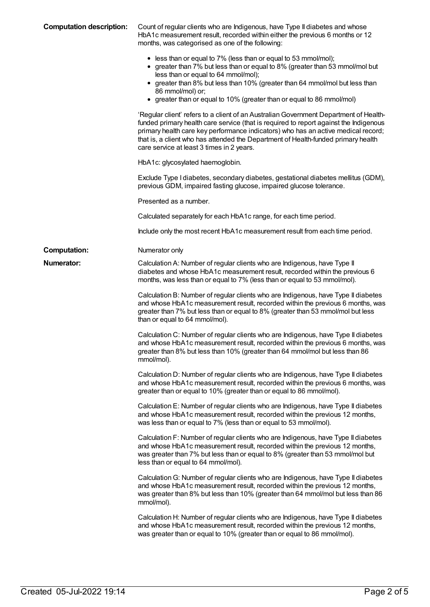| <b>Computation description:</b> | Count of regular clients who are Indigenous, have Type II diabetes and whose<br>HbA1c measurement result, recorded within either the previous 6 months or 12<br>months, was categorised as one of the following:                                                                                                                                                                                      |
|---------------------------------|-------------------------------------------------------------------------------------------------------------------------------------------------------------------------------------------------------------------------------------------------------------------------------------------------------------------------------------------------------------------------------------------------------|
|                                 | • less than or equal to 7% (less than or equal to 53 mmol/mol);<br>• greater than 7% but less than or equal to 8% (greater than 53 mmol/mol but<br>less than or equal to 64 mmol/mol);<br>• greater than 8% but less than 10% (greater than 64 mmol/mol but less than<br>86 mmol/mol) or;<br>• greater than or equal to 10% (greater than or equal to 86 mmol/mol)                                    |
|                                 | 'Regular client' refers to a client of an Australian Government Department of Health-<br>funded primary health care service (that is required to report against the Indigenous<br>primary health care key performance indicators) who has an active medical record;<br>that is, a client who has attended the Department of Health-funded primary health<br>care service at least 3 times in 2 years. |
|                                 | HbA1c: glycosylated haemoglobin.                                                                                                                                                                                                                                                                                                                                                                      |
|                                 | Exclude Type I diabetes, secondary diabetes, gestational diabetes mellitus (GDM),<br>previous GDM, impaired fasting glucose, impaired glucose tolerance.                                                                                                                                                                                                                                              |
|                                 | Presented as a number.                                                                                                                                                                                                                                                                                                                                                                                |
|                                 | Calculated separately for each HbA1c range, for each time period.                                                                                                                                                                                                                                                                                                                                     |
|                                 | Include only the most recent HbA1c measurement result from each time period.                                                                                                                                                                                                                                                                                                                          |
| <b>Computation:</b>             | Numerator only                                                                                                                                                                                                                                                                                                                                                                                        |
| <b>Numerator:</b>               | Calculation A: Number of regular clients who are Indigenous, have Type II<br>diabetes and whose HbA1c measurement result, recorded within the previous 6<br>months, was less than or equal to 7% (less than or equal to 53 mmol/mol).                                                                                                                                                                 |
|                                 | Calculation B: Number of regular clients who are Indigenous, have Type II diabetes<br>and whose HbA1c measurement result, recorded within the previous 6 months, was<br>greater than 7% but less than or equal to 8% (greater than 53 mmol/mol but less<br>than or equal to 64 mmol/mol).                                                                                                             |
|                                 | Calculation C: Number of regular clients who are Indigenous, have Type II diabetes<br>and whose HbA1c measurement result, recorded within the previous 6 months, was<br>greater than 8% but less than 10% (greater than 64 mmol/mol but less than 86<br>mmol/mol).                                                                                                                                    |
|                                 | Calculation D: Number of regular clients who are Indigenous, have Type II diabetes<br>and whose HbA1c measurement result, recorded within the previous 6 months, was<br>greater than or equal to 10% (greater than or equal to 86 mmol/mol).                                                                                                                                                          |
|                                 | Calculation E: Number of regular clients who are Indigenous, have Type II diabetes<br>and whose HbA1c measurement result, recorded within the previous 12 months,<br>was less than or equal to 7% (less than or equal to 53 mmol/mol).                                                                                                                                                                |
|                                 | Calculation F: Number of regular clients who are Indigenous, have Type II diabetes<br>and whose HbA1c measurement result, recorded within the previous 12 months,<br>was greater than 7% but less than or equal to 8% (greater than 53 mmol/mol but<br>less than or equal to 64 mmol/mol).                                                                                                            |
|                                 | Calculation G: Number of regular clients who are Indigenous, have Type II diabetes<br>and whose HbA1c measurement result, recorded within the previous 12 months,<br>was greater than 8% but less than 10% (greater than 64 mmol/mol but less than 86<br>mmol/mol).                                                                                                                                   |
|                                 | Calculation H: Number of regular clients who are Indigenous, have Type II diabetes<br>and whose HbA1c measurement result, recorded within the previous 12 months,<br>was greater than or equal to 10% (greater than or equal to 86 mmol/mol).                                                                                                                                                         |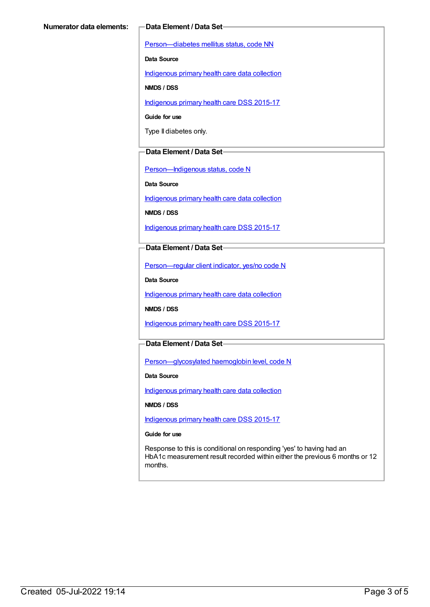[Person—diabetes](https://meteor.aihw.gov.au/content/270194) mellitus status, code NN

**Data Source**

[Indigenous](https://meteor.aihw.gov.au/content/430643) primary health care data collection

**NMDS / DSS**

[Indigenous](https://meteor.aihw.gov.au/content/585036) primary health care DSS 2015-17

**Guide for use**

Type II diabetes only.

#### **Data Element / Data Set**

[Person—Indigenous](https://meteor.aihw.gov.au/content/291036) status, code N

**Data Source**

[Indigenous](https://meteor.aihw.gov.au/content/430643) primary health care data collection

**NMDS / DSS**

[Indigenous](https://meteor.aihw.gov.au/content/585036) primary health care DSS 2015-17

**Data Element / Data Set**

[Person—regular](https://meteor.aihw.gov.au/content/436639) client indicator, yes/no code N

**Data Source**

[Indigenous](https://meteor.aihw.gov.au/content/430643) primary health care data collection

**NMDS / DSS**

[Indigenous](https://meteor.aihw.gov.au/content/585036) primary health care DSS 2015-17

#### **Data Element / Data Set**

[Person—glycosylated](https://meteor.aihw.gov.au/content/589601) haemoglobin level, code N

**Data Source**

[Indigenous](https://meteor.aihw.gov.au/content/430643) primary health care data collection

**NMDS / DSS**

[Indigenous](https://meteor.aihw.gov.au/content/585036) primary health care DSS 2015-17

**Guide for use**

Response to this is conditional on responding 'yes' to having had an HbA1c measurement result recorded within either the previous 6 months or 12 months.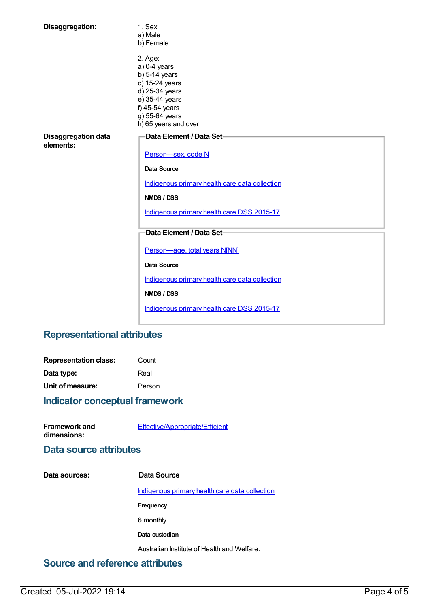| Disaggregation:                         | 1. Sex:<br>a) Male<br>b) Female                                                                                                                                |
|-----------------------------------------|----------------------------------------------------------------------------------------------------------------------------------------------------------------|
|                                         | 2. Age:<br>$a)$ 0-4 years<br>$b)$ 5-14 years<br>c) 15-24 years<br>d) 25-34 years<br>e) 35-44 years<br>f) 45-54 years<br>g) 55-64 years<br>h) 65 years and over |
| <b>Disaggregation data</b><br>elements: | Data Element / Data Set-<br>Person-sex, code N                                                                                                                 |
|                                         | Data Source                                                                                                                                                    |
|                                         | Indigenous primary health care data collection                                                                                                                 |
|                                         | NMDS / DSS                                                                                                                                                     |
|                                         | Indigenous primary health care DSS 2015-17                                                                                                                     |
|                                         | Data Element / Data Set-                                                                                                                                       |
|                                         | Person-age, total years N[NN]                                                                                                                                  |
|                                         | <b>Data Source</b>                                                                                                                                             |
|                                         | Indigenous primary health care data collection                                                                                                                 |
|                                         | NMDS / DSS                                                                                                                                                     |
|                                         | Indigenous primary health care DSS 2015-17                                                                                                                     |

# **Representational attributes**

| <b>Representation class:</b> | Count  |
|------------------------------|--------|
| Data type:                   | Real   |
| Unit of measure:             | Person |

# **Indicator conceptual framework**

| <b>Framework and</b> | Effective/Appropriate/Efficient |
|----------------------|---------------------------------|
| dimensions:          |                                 |

## **Data source attributes**

| Data sources: | Data Source                                    |
|---------------|------------------------------------------------|
|               | Indigenous primary health care data collection |
|               | Frequency                                      |
|               | 6 monthly                                      |
|               | Data custodian                                 |
|               | Australian Institute of Health and Welfare.    |

# **Source and reference attributes**